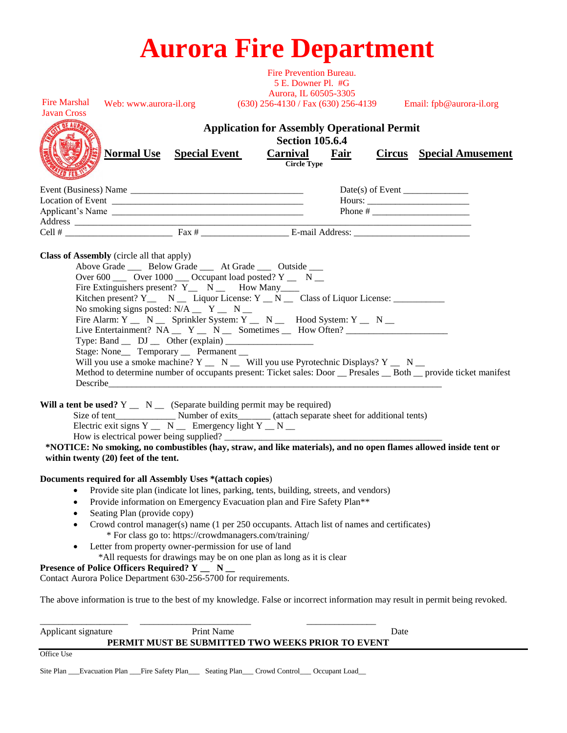| <b>Aurora Fire Department</b> |  |  |
|-------------------------------|--|--|

| Print Name<br>Applicant signature                                                                                                                                                                                                                                                                                                                                                                                                                                                                                                                                                                                                    | Date                                                                                                                                                                                                                                                                                                                                                                      |
|--------------------------------------------------------------------------------------------------------------------------------------------------------------------------------------------------------------------------------------------------------------------------------------------------------------------------------------------------------------------------------------------------------------------------------------------------------------------------------------------------------------------------------------------------------------------------------------------------------------------------------------|---------------------------------------------------------------------------------------------------------------------------------------------------------------------------------------------------------------------------------------------------------------------------------------------------------------------------------------------------------------------------|
|                                                                                                                                                                                                                                                                                                                                                                                                                                                                                                                                                                                                                                      | The above information is true to the best of my knowledge. False or incorrect information may result in permit being revoked.                                                                                                                                                                                                                                             |
| * For class go to: https://crowdmanagers.com/training/<br>Letter from property owner-permission for use of land<br>*All requests for drawings may be on one plan as long as it is clear<br>Presence of Police Officers Required? Y _ N _<br>Contact Aurora Police Department 630-256-5700 for requirements.                                                                                                                                                                                                                                                                                                                          |                                                                                                                                                                                                                                                                                                                                                                           |
| Seating Plan (provide copy)                                                                                                                                                                                                                                                                                                                                                                                                                                                                                                                                                                                                          | Provide information on Emergency Evacuation plan and Fire Safety Plan <sup>**</sup><br>Crowd control manager(s) name (1 per 250 occupants. Attach list of names and certificates)                                                                                                                                                                                         |
| Documents required for all Assembly Uses *(attach copies)<br>٠                                                                                                                                                                                                                                                                                                                                                                                                                                                                                                                                                                       | Provide site plan (indicate lot lines, parking, tents, building, streets, and vendors)                                                                                                                                                                                                                                                                                    |
| Will a tent be used? $Y \_ N \_$ (Separate building permit may be required)<br>Electric exit signs $Y_$ $\_\ N_$ Emergency light Y $\_\ N_$<br>How is electrical power being supplied?<br>within twenty (20) feet of the tent.                                                                                                                                                                                                                                                                                                                                                                                                       | *NOTICE: No smoking, no combustibles (hay, straw, and like materials), and no open flames allowed inside tent or                                                                                                                                                                                                                                                          |
| <b>Class of Assembly</b> (circle all that apply)<br>Above Grade _____ Below Grade _____ At Grade _____ Outside ____<br>Over 600 $\_\_$ Over 1000 $\_\_$ Occupant load posted? Y $\_\_$ N $\_\_$<br>Fire Extinguishers present? $Y_$ N $_$ How Many<br>No smoking signs posted: $N/A$ _ Y _ N _<br>Type: Band $\_\_$ DJ $\_\_$ Other (explain) $\_\_$<br>Stage: None ___ Temporary ___ Permanent __<br>Describe the contract of the contract of the contract of the contract of the contract of the contract of the contract of the contract of the contract of the contract of the contract of the contract of the contract of the c | Kitchen present? Y_ N _ Liquor License: Y _ N _ Class of Liquor License: ________<br>Fire Alarm: Y _ N _ Sprinkler System: Y _ N _ Hood System: Y _ N _<br>Will you use a smoke machine? $Y \_ N \_$ Will you use Pyrotechnic Displays? $Y \_ N \_$<br>Method to determine number of occupants present: Ticket sales: Door __ Presales __ Both __ provide ticket manifest |
|                                                                                                                                                                                                                                                                                                                                                                                                                                                                                                                                                                                                                                      |                                                                                                                                                                                                                                                                                                                                                                           |
| Applicant's Name                                                                                                                                                                                                                                                                                                                                                                                                                                                                                                                                                                                                                     |                                                                                                                                                                                                                                                                                                                                                                           |
| <b>Normal Use</b> Special Event                                                                                                                                                                                                                                                                                                                                                                                                                                                                                                                                                                                                      | <b>Application for Assembly Operational Permit</b><br><b>Section 105.6.4</b><br>Carnival<br>Fair<br><b>Circus</b> Special Amusement<br><b>Circle Type</b>                                                                                                                                                                                                                 |
| <b>Fire Marshal</b><br>Web: www.aurora-il.org<br><b>Javan Cross</b>                                                                                                                                                                                                                                                                                                                                                                                                                                                                                                                                                                  | 5 E. Downer Pl. #G<br>Aurora, IL 60505-3305<br>(630) 256-4130 / Fax (630) 256-4139 Email: fpb@aurora-il.org                                                                                                                                                                                                                                                               |
|                                                                                                                                                                                                                                                                                                                                                                                                                                                                                                                                                                                                                                      | Fire Prevention Bureau.                                                                                                                                                                                                                                                                                                                                                   |

Office Use